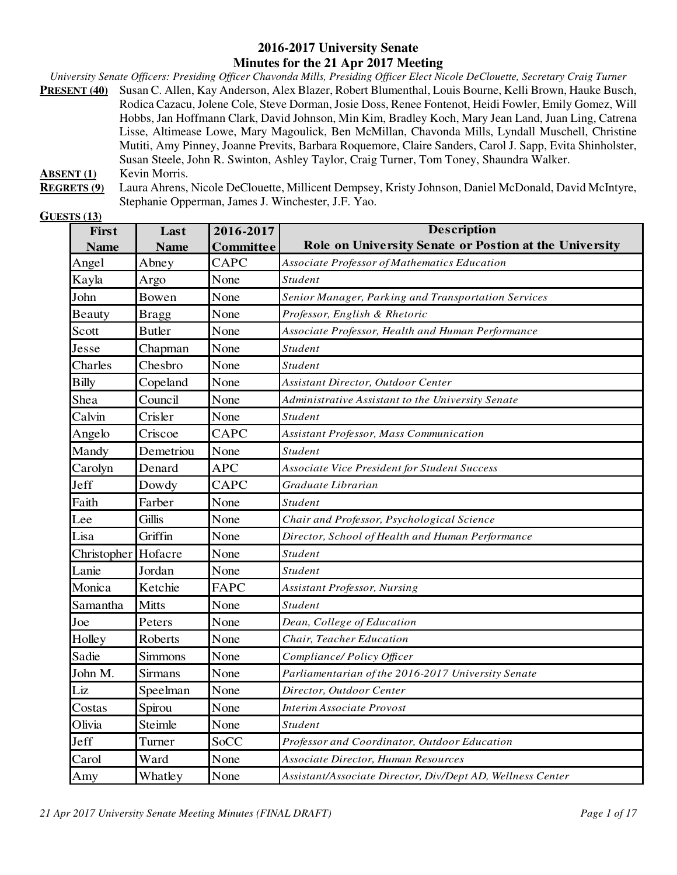#### **2016-2017 University Senate Minutes for the 21 Apr 2017 Meeting**

*University Senate Officers: Presiding Officer Chavonda Mills, Presiding Officer Elect Nicole DeClouette, Secretary Craig Turner*  **PRESENT (40)** Susan C. Allen, Kay Anderson, Alex Blazer, Robert Blumenthal, Louis Bourne, Kelli Brown, Hauke Busch, Rodica Cazacu, Jolene Cole, Steve Dorman, Josie Doss, Renee Fontenot, Heidi Fowler, Emily Gomez, Will Hobbs, Jan Hoffmann Clark, David Johnson, Min Kim, Bradley Koch, Mary Jean Land, Juan Ling, Catrena Lisse, Altimease Lowe, Mary Magoulick, Ben McMillan, Chavonda Mills, Lyndall Muschell, Christine Mutiti, Amy Pinney, Joanne Previts, Barbara Roquemore, Claire Sanders, Carol J. Sapp, Evita Shinholster, Susan Steele, John R. Swinton, Ashley Taylor, Craig Turner, Tom Toney, Shaundra Walker. **ABSENT (1)** Kevin Morris.

**REGRETS (9)** Laura Ahrens, Nicole DeClouette, Millicent Dempsey, Kristy Johnson, Daniel McDonald, David McIntyre, Stephanie Opperman, James J. Winchester, J.F. Yao.

| <b>GUESTS</b> (13) |  |
|--------------------|--|
|                    |  |

| First        | Last           | 2016-2017  | <b>Description</b>                                         |  |
|--------------|----------------|------------|------------------------------------------------------------|--|
| <b>Name</b>  | <b>Name</b>    | Committee  | Role on University Senate or Postion at the University     |  |
| Angel        | Abney          | CAPC       | Associate Professor of Mathematics Education               |  |
| Kayla        | Argo           | None       | Student                                                    |  |
| John         | Bowen          | None       | Senior Manager, Parking and Transportation Services        |  |
| Beauty       | <b>Bragg</b>   | None       | Professor, English & Rhetoric                              |  |
| Scott        | <b>Butler</b>  | None       | Associate Professor, Health and Human Performance          |  |
| Jesse        | Chapman        | None       | <b>Student</b>                                             |  |
| Charles      | Chesbro        | None       | <b>Student</b>                                             |  |
| <b>Billy</b> | Copeland       | None       | Assistant Director, Outdoor Center                         |  |
| Shea         | Council        | None       | Administrative Assistant to the University Senate          |  |
| Calvin       | Crisler        | None       | <b>Student</b>                                             |  |
| Angelo       | Criscoe        | CAPC       | Assistant Professor, Mass Communication                    |  |
| Mandy        | Demetriou      | None       | <b>Student</b>                                             |  |
| Carolyn      | Denard         | <b>APC</b> | Associate Vice President for Student Success               |  |
| Jeff         | Dowdy          | CAPC       | Graduate Librarian                                         |  |
| Faith        | Farber         | None       | <b>Student</b>                                             |  |
| Lee          | <b>Gillis</b>  | None       | Chair and Professor, Psychological Science                 |  |
| Lisa         | Griffin        | None       | Director, School of Health and Human Performance           |  |
| Christopher  | Hofacre        | None       | <b>Student</b>                                             |  |
| Lanie        | Jordan         | None       | <b>Student</b>                                             |  |
| Monica       | Ketchie        | FAPC       | Assistant Professor, Nursing                               |  |
| Samantha     | <b>Mitts</b>   | None       | Student                                                    |  |
| Joe          | Peters         | None       | Dean, College of Education                                 |  |
| Holley       | Roberts        | None       | Chair, Teacher Education                                   |  |
| Sadie        | Simmons        | None       | Compliance/Policy Officer                                  |  |
| John M.      | <b>Sirmans</b> | None       | Parliamentarian of the 2016-2017 University Senate         |  |
| Liz          | Speelman       | None       | Director, Outdoor Center                                   |  |
| Costas       | Spirou         | None       | Interim Associate Provost                                  |  |
| Olivia       | Steimle        | None       | <b>Student</b>                                             |  |
| Jeff         | Turner         | SoCC       | Professor and Coordinator, Outdoor Education               |  |
| Carol        | Ward           | None       | Associate Director, Human Resources                        |  |
| Amy          | Whatley        | None       | Assistant/Associate Director, Div/Dept AD, Wellness Center |  |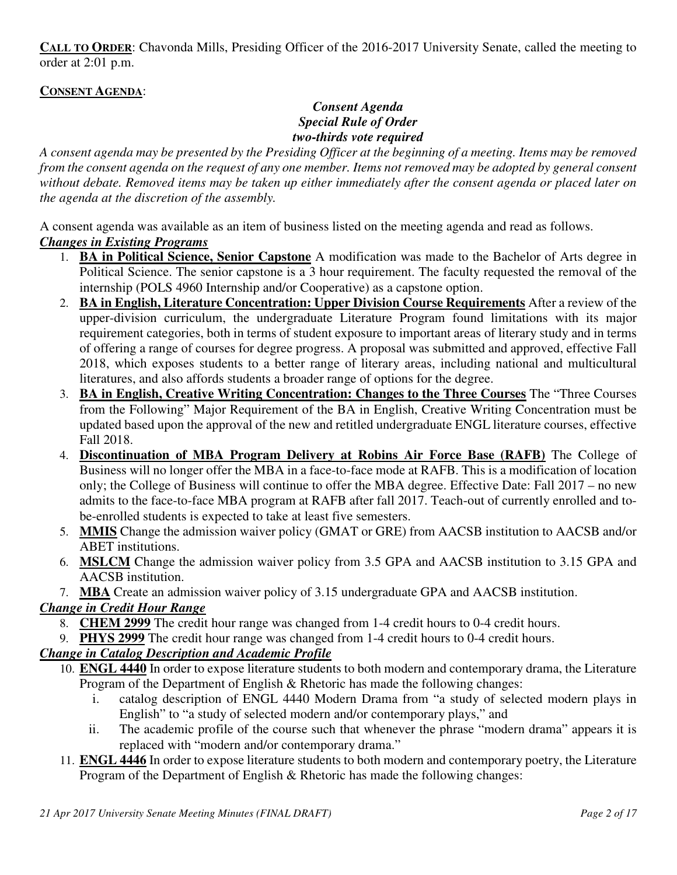**CALL TO ORDER**: Chavonda Mills, Presiding Officer of the 2016-2017 University Senate, called the meeting to order at 2:01 p.m.

### **CONSENT AGENDA**:

### *Consent Agenda Special Rule of Order two-thirds vote required*

*A consent agenda may be presented by the Presiding Officer at the beginning of a meeting. Items may be removed from the consent agenda on the request of any one member. Items not removed may be adopted by general consent without debate. Removed items may be taken up either immediately after the consent agenda or placed later on the agenda at the discretion of the assembly.* 

A consent agenda was available as an item of business listed on the meeting agenda and read as follows.

### *Changes in Existing Programs*

- 1. **BA in Political Science, Senior Capstone** A modification was made to the Bachelor of Arts degree in Political Science. The senior capstone is a 3 hour requirement. The faculty requested the removal of the internship (POLS 4960 Internship and/or Cooperative) as a capstone option.
- 2. **BA in English, Literature Concentration: Upper Division Course Requirements** After a review of the upper-division curriculum, the undergraduate Literature Program found limitations with its major requirement categories, both in terms of student exposure to important areas of literary study and in terms of offering a range of courses for degree progress. A proposal was submitted and approved, effective Fall 2018, which exposes students to a better range of literary areas, including national and multicultural literatures, and also affords students a broader range of options for the degree.
- 3. **BA in English, Creative Writing Concentration: Changes to the Three Courses** The "Three Courses from the Following" Major Requirement of the BA in English, Creative Writing Concentration must be updated based upon the approval of the new and retitled undergraduate ENGL literature courses, effective Fall 2018.
- 4. **Discontinuation of MBA Program Delivery at Robins Air Force Base (RAFB)** The College of Business will no longer offer the MBA in a face-to-face mode at RAFB. This is a modification of location only; the College of Business will continue to offer the MBA degree. Effective Date: Fall 2017 – no new admits to the face-to-face MBA program at RAFB after fall 2017. Teach-out of currently enrolled and tobe-enrolled students is expected to take at least five semesters.
- 5. **MMIS** Change the admission waiver policy (GMAT or GRE) from AACSB institution to AACSB and/or ABET institutions.
- 6. **MSLCM** Change the admission waiver policy from 3.5 GPA and AACSB institution to 3.15 GPA and AACSB institution.
- 7. **MBA** Create an admission waiver policy of 3.15 undergraduate GPA and AACSB institution.

# *Change in Credit Hour Range*

- 8. **CHEM 2999** The credit hour range was changed from 1-4 credit hours to 0-4 credit hours.
- 9. **PHYS 2999** The credit hour range was changed from 1-4 credit hours to 0-4 credit hours.

# *Change in Catalog Description and Academic Profile*

- 10. **ENGL 4440** In order to expose literature students to both modern and contemporary drama, the Literature Program of the Department of English & Rhetoric has made the following changes:
	- i. catalog description of ENGL 4440 Modern Drama from "a study of selected modern plays in English" to "a study of selected modern and/or contemporary plays," and
	- ii. The academic profile of the course such that whenever the phrase "modern drama" appears it is replaced with "modern and/or contemporary drama."
- 11. **ENGL 4446** In order to expose literature students to both modern and contemporary poetry, the Literature Program of the Department of English & Rhetoric has made the following changes: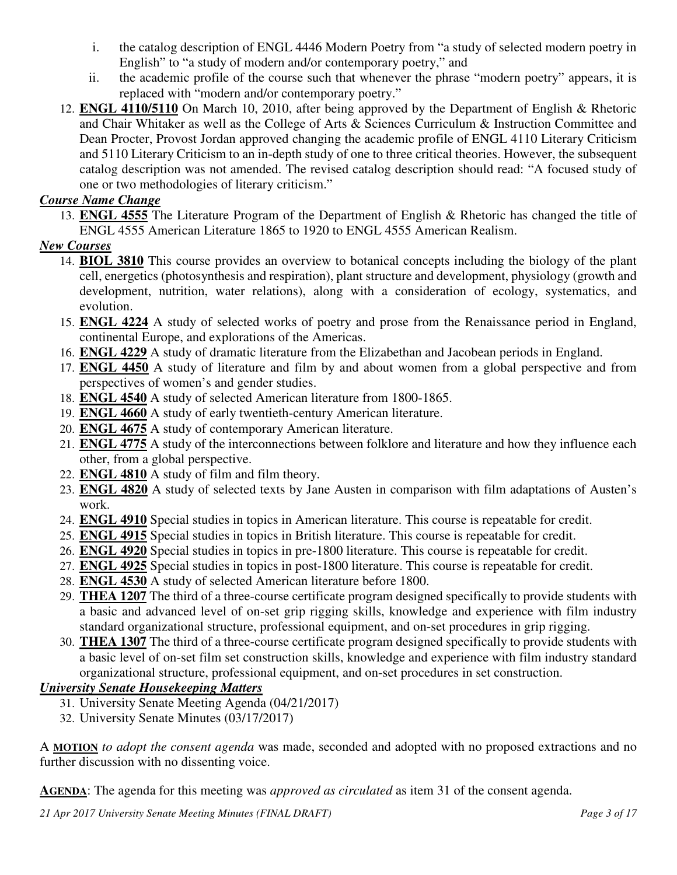- i. the catalog description of ENGL 4446 Modern Poetry from "a study of selected modern poetry in English" to "a study of modern and/or contemporary poetry," and
- ii. the academic profile of the course such that whenever the phrase "modern poetry" appears, it is replaced with "modern and/or contemporary poetry."
- 12. **ENGL 4110/5110** On March 10, 2010, after being approved by the Department of English & Rhetoric and Chair Whitaker as well as the College of Arts & Sciences Curriculum & Instruction Committee and Dean Procter, Provost Jordan approved changing the academic profile of ENGL 4110 Literary Criticism and 5110 Literary Criticism to an in-depth study of one to three critical theories. However, the subsequent catalog description was not amended. The revised catalog description should read: "A focused study of one or two methodologies of literary criticism."

## *Course Name Change*

13. **ENGL 4555** The Literature Program of the Department of English & Rhetoric has changed the title of ENGL 4555 American Literature 1865 to 1920 to ENGL 4555 American Realism.

# *New Courses*

- 14. **BIOL 3810** This course provides an overview to botanical concepts including the biology of the plant cell, energetics (photosynthesis and respiration), plant structure and development, physiology (growth and development, nutrition, water relations), along with a consideration of ecology, systematics, and evolution.
- 15. **ENGL 4224** A study of selected works of poetry and prose from the Renaissance period in England, continental Europe, and explorations of the Americas.
- 16. **ENGL 4229** A study of dramatic literature from the Elizabethan and Jacobean periods in England.
- 17. **ENGL 4450** A study of literature and film by and about women from a global perspective and from perspectives of women's and gender studies.
- 18. **ENGL 4540** A study of selected American literature from 1800-1865.
- 19. **ENGL 4660** A study of early twentieth-century American literature.
- 20. **ENGL 4675** A study of contemporary American literature.
- 21. **ENGL 4775** A study of the interconnections between folklore and literature and how they influence each other, from a global perspective.
- 22. **ENGL 4810** A study of film and film theory.
- 23. **ENGL 4820** A study of selected texts by Jane Austen in comparison with film adaptations of Austen's work.
- 24. **ENGL 4910** Special studies in topics in American literature. This course is repeatable for credit.
- 25. **ENGL 4915** Special studies in topics in British literature. This course is repeatable for credit.
- 26. **ENGL 4920** Special studies in topics in pre-1800 literature. This course is repeatable for credit.
- 27. **ENGL 4925** Special studies in topics in post-1800 literature. This course is repeatable for credit.
- 28. **ENGL 4530** A study of selected American literature before 1800.
- 29. **THEA 1207** The third of a three-course certificate program designed specifically to provide students with a basic and advanced level of on-set grip rigging skills, knowledge and experience with film industry standard organizational structure, professional equipment, and on-set procedures in grip rigging.
- 30. **THEA 1307** The third of a three-course certificate program designed specifically to provide students with a basic level of on-set film set construction skills, knowledge and experience with film industry standard organizational structure, professional equipment, and on-set procedures in set construction.

# *University Senate Housekeeping Matters*

- 31. University Senate Meeting Agenda (04/21/2017)
- 32. University Senate Minutes (03/17/2017)

A **MOTION** *to adopt the consent agenda* was made, seconded and adopted with no proposed extractions and no further discussion with no dissenting voice.

**AGENDA**: The agenda for this meeting was *approved as circulated* as item 31 of the consent agenda.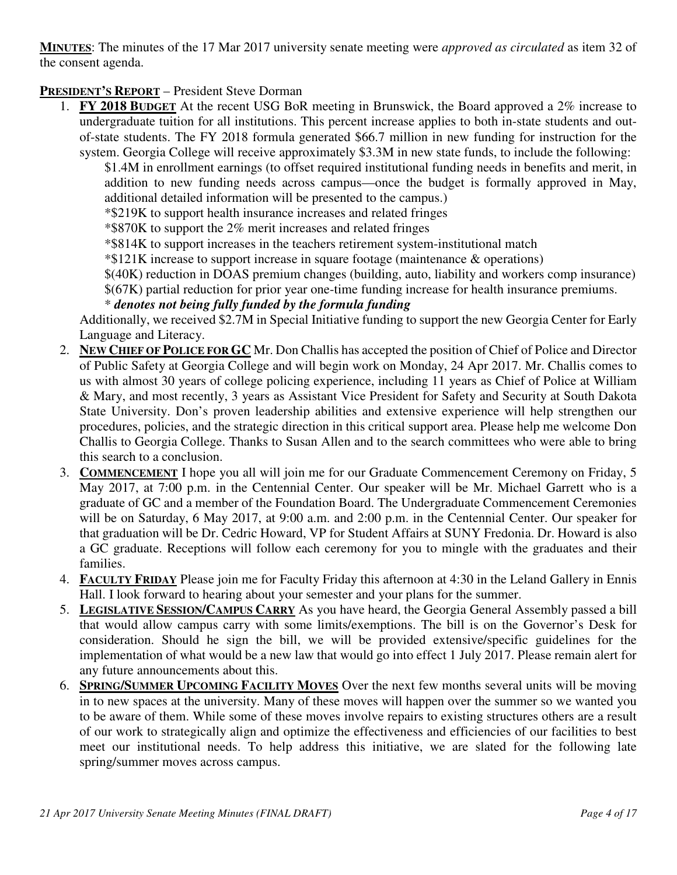**MINUTES**: The minutes of the 17 Mar 2017 university senate meeting were *approved as circulated* as item 32 of the consent agenda.

# **PRESIDENT'S REPORT** – President Steve Dorman

1. **FY 2018 BUDGET** At the recent USG BoR meeting in Brunswick, the Board approved a 2% increase to undergraduate tuition for all institutions. This percent increase applies to both in-state students and outof-state students. The FY 2018 formula generated \$66.7 million in new funding for instruction for the system. Georgia College will receive approximately \$3.3M in new state funds, to include the following:

\$1.4M in enrollment earnings (to offset required institutional funding needs in benefits and merit, in addition to new funding needs across campus—once the budget is formally approved in May, additional detailed information will be presented to the campus.)

\*\$219K to support health insurance increases and related fringes

\*\$870K to support the 2% merit increases and related fringes

\*\$814K to support increases in the teachers retirement system-institutional match

\*\$121K increase to support increase in square footage (maintenance & operations)

\$(40K) reduction in DOAS premium changes (building, auto, liability and workers comp insurance) \$(67K) partial reduction for prior year one-time funding increase for health insurance premiums.

#### \* *denotes not being fully funded by the formula funding*

Additionally, we received \$2.7M in Special Initiative funding to support the new Georgia Center for Early Language and Literacy.

- 2. **NEW CHIEF OF POLICE FOR GC** Mr. Don Challis has accepted the position of Chief of Police and Director of Public Safety at Georgia College and will begin work on Monday, 24 Apr 2017. Mr. Challis comes to us with almost 30 years of college policing experience, including 11 years as Chief of Police at William & Mary, and most recently, 3 years as Assistant Vice President for Safety and Security at South Dakota State University. Don's proven leadership abilities and extensive experience will help strengthen our procedures, policies, and the strategic direction in this critical support area. Please help me welcome Don Challis to Georgia College. Thanks to Susan Allen and to the search committees who were able to bring this search to a conclusion.
- 3. **COMMENCEMENT** I hope you all will join me for our Graduate Commencement Ceremony on Friday, 5 May 2017, at 7:00 p.m. in the Centennial Center. Our speaker will be Mr. Michael Garrett who is a graduate of GC and a member of the Foundation Board. The Undergraduate Commencement Ceremonies will be on Saturday, 6 May 2017, at 9:00 a.m. and 2:00 p.m. in the Centennial Center. Our speaker for that graduation will be Dr. Cedric Howard, VP for Student Affairs at SUNY Fredonia. Dr. Howard is also a GC graduate. Receptions will follow each ceremony for you to mingle with the graduates and their families.
- 4. **FACULTY FRIDAY** Please join me for Faculty Friday this afternoon at 4:30 in the Leland Gallery in Ennis Hall. I look forward to hearing about your semester and your plans for the summer.
- 5. **LEGISLATIVE SESSION/CAMPUS CARRY** As you have heard, the Georgia General Assembly passed a bill that would allow campus carry with some limits/exemptions. The bill is on the Governor's Desk for consideration. Should he sign the bill, we will be provided extensive/specific guidelines for the implementation of what would be a new law that would go into effect 1 July 2017. Please remain alert for any future announcements about this.
- 6. **SPRING/SUMMER UPCOMING FACILITY MOVES** Over the next few months several units will be moving in to new spaces at the university. Many of these moves will happen over the summer so we wanted you to be aware of them. While some of these moves involve repairs to existing structures others are a result of our work to strategically align and optimize the effectiveness and efficiencies of our facilities to best meet our institutional needs. To help address this initiative, we are slated for the following late spring/summer moves across campus.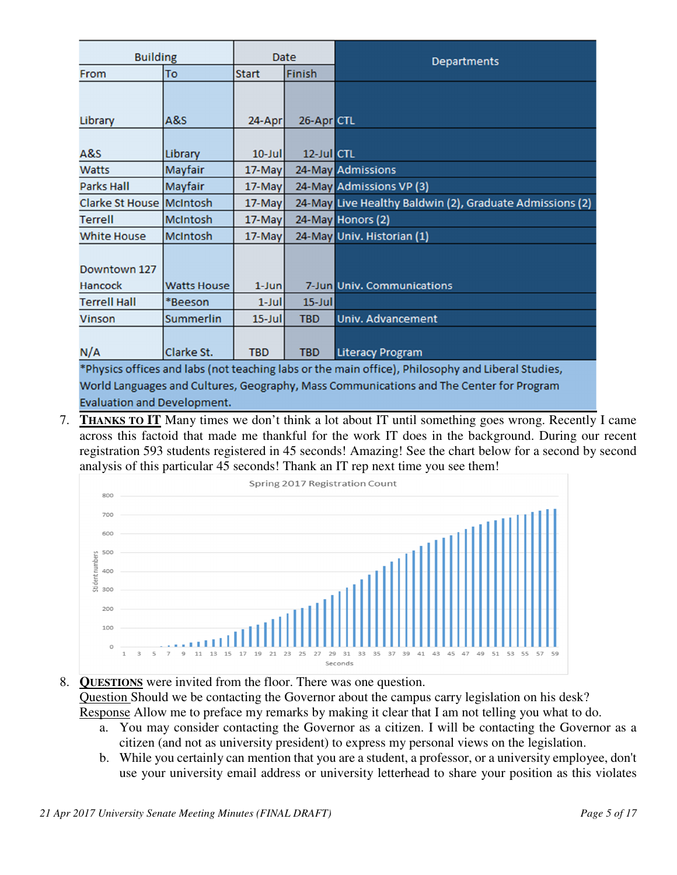| <b>Building</b>                |                    | Date         |            | <b>Departments</b>                                                                                                           |  |
|--------------------------------|--------------------|--------------|------------|------------------------------------------------------------------------------------------------------------------------------|--|
| From                           | To                 | <b>Start</b> | Finish     |                                                                                                                              |  |
| Library                        | A&S                | 24-Apr       | 26-Apr CTL |                                                                                                                              |  |
| A&S                            | Library            | $10 -$ Jul   | 12-Jul CTL |                                                                                                                              |  |
| Watts                          | Mayfair            | $17$ -May    |            | 24-May Admissions                                                                                                            |  |
| <b>Parks Hall</b>              | Mayfair            | 17-May       |            | 24-May Admissions VP (3)                                                                                                     |  |
| Clarke St House McIntosh       |                    | $17$ -May    |            | 24-May Live Healthy Baldwin (2), Graduate Admissions (2)                                                                     |  |
| <b>Terrell</b>                 | <b>McIntosh</b>    | $17$ -May    |            | 24-May Honors (2)                                                                                                            |  |
| <b>White House</b>             | <b>McIntosh</b>    | 17-May       |            | 24-May Univ. Historian (1)                                                                                                   |  |
| Downtown 127<br><b>Hancock</b> | <b>Watts House</b> | $1$ -Jun     |            | 7-Jun Univ. Communications                                                                                                   |  |
| <b>Terrell Hall</b>            | *Beeson            | $1$ -Jul     | $15$ -Jul  |                                                                                                                              |  |
| <b>Vinson</b>                  | <b>Summerlin</b>   | $15$ -Jul    | <b>TBD</b> | <b>Univ. Advancement</b>                                                                                                     |  |
| N/A                            | Clarke St.         | <b>TBD</b>   | <b>TBD</b> | <b>Literacy Program</b><br>*Physics offices and labs (not teaching labs or the main office), Philosophy and Liberal Studies, |  |

World Languages and Cultures, Geography, Mass Communications and The Center for Program **Evaluation and Development.** 

7. **THANKS TO IT** Many times we don't think a lot about IT until something goes wrong. Recently I came across this factoid that made me thankful for the work IT does in the background. During our recent registration 593 students registered in 45 seconds! Amazing! See the chart below for a second by second analysis of this particular 45 seconds! Thank an IT rep next time you see them!



# 8. **QUESTIONS** were invited from the floor. There was one question. Question Should we be contacting the Governor about the campus carry legislation on his desk? Response Allow me to preface my remarks by making it clear that I am not telling you what to do.

- a. You may consider contacting the Governor as a citizen. I will be contacting the Governor as a citizen (and not as university president) to express my personal views on the legislation.
- b. While you certainly can mention that you are a student, a professor, or a university employee, don't use your university email address or university letterhead to share your position as this violates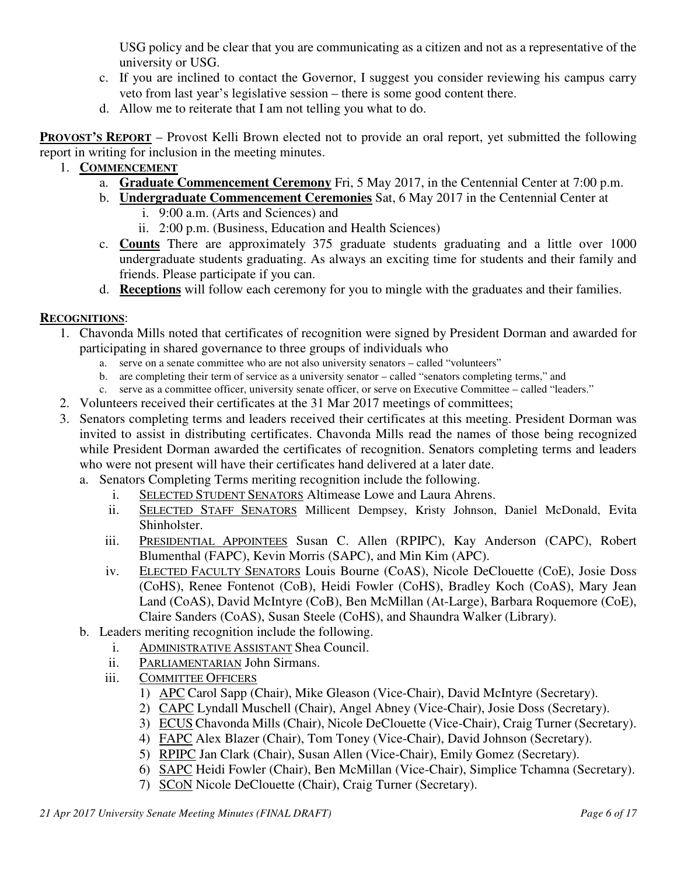USG policy and be clear that you are communicating as a citizen and not as a representative of the university or USG.

- c. If you are inclined to contact the Governor, I suggest you consider reviewing his campus carry veto from last year's legislative session – there is some good content there.
- d. Allow me to reiterate that I am not telling you what to do.

**PROVOST'S REPORT** – Provost Kelli Brown elected not to provide an oral report, yet submitted the following report in writing for inclusion in the meeting minutes.

- 1. **COMMENCEMENT**
	- a. **Graduate Commencement Ceremony** Fri, 5 May 2017, in the Centennial Center at 7:00 p.m.
	- b. **Undergraduate Commencement Ceremonies** Sat, 6 May 2017 in the Centennial Center at i. 9:00 a.m. (Arts and Sciences) and
		- ii. 2:00 p.m. (Business, Education and Health Sciences)
	- c. **Counts** There are approximately 375 graduate students graduating and a little over 1000 undergraduate students graduating. As always an exciting time for students and their family and friends. Please participate if you can.
	- d. **Receptions** will follow each ceremony for you to mingle with the graduates and their families.

# **RECOGNITIONS**:

- 1. Chavonda Mills noted that certificates of recognition were signed by President Dorman and awarded for participating in shared governance to three groups of individuals who
	- a. serve on a senate committee who are not also university senators called "volunteers"
	- b. are completing their term of service as a university senator called "senators completing terms," and
	- c. serve as a committee officer, university senate officer, or serve on Executive Committee called "leaders."
- 2. Volunteers received their certificates at the 31 Mar 2017 meetings of committees;
- 3. Senators completing terms and leaders received their certificates at this meeting. President Dorman was invited to assist in distributing certificates. Chavonda Mills read the names of those being recognized while President Dorman awarded the certificates of recognition. Senators completing terms and leaders who were not present will have their certificates hand delivered at a later date.
	- a. Senators Completing Terms meriting recognition include the following.
		- i. SELECTED STUDENT SENATORS Altimease Lowe and Laura Ahrens.
		- ii. SELECTED STAFF SENATORS Millicent Dempsey, Kristy Johnson, Daniel McDonald, Evita Shinholster.
		- iii. PRESIDENTIAL APPOINTEES Susan C. Allen (RPIPC), Kay Anderson (CAPC), Robert Blumenthal (FAPC), Kevin Morris (SAPC), and Min Kim (APC).
		- iv. ELECTED FACULTY SENATORS Louis Bourne (CoAS), Nicole DeClouette (CoE), Josie Doss (CoHS), Renee Fontenot (CoB), Heidi Fowler (CoHS), Bradley Koch (CoAS), Mary Jean Land (CoAS), David McIntyre (CoB), Ben McMillan (At-Large), Barbara Roquemore (CoE), Claire Sanders (CoAS), Susan Steele (CoHS), and Shaundra Walker (Library).
	- b. Leaders meriting recognition include the following.
		- i. ADMINISTRATIVE ASSISTANT Shea Council.
		- ii. PARLIAMENTARIAN John Sirmans.
		- iii. COMMITTEE OFFICERS
			- 1) APC Carol Sapp (Chair), Mike Gleason (Vice-Chair), David McIntyre (Secretary).
			- 2) CAPC Lyndall Muschell (Chair), Angel Abney (Vice-Chair), Josie Doss (Secretary).
			- 3) ECUS Chavonda Mills (Chair), Nicole DeClouette (Vice-Chair), Craig Turner (Secretary).
			- 4) FAPC Alex Blazer (Chair), Tom Toney (Vice-Chair), David Johnson (Secretary).
			- 5) RPIPC Jan Clark (Chair), Susan Allen (Vice-Chair), Emily Gomez (Secretary).
			- 6) SAPC Heidi Fowler (Chair), Ben McMillan (Vice-Chair), Simplice Tchamna (Secretary).
			- 7) SCON Nicole DeClouette (Chair), Craig Turner (Secretary).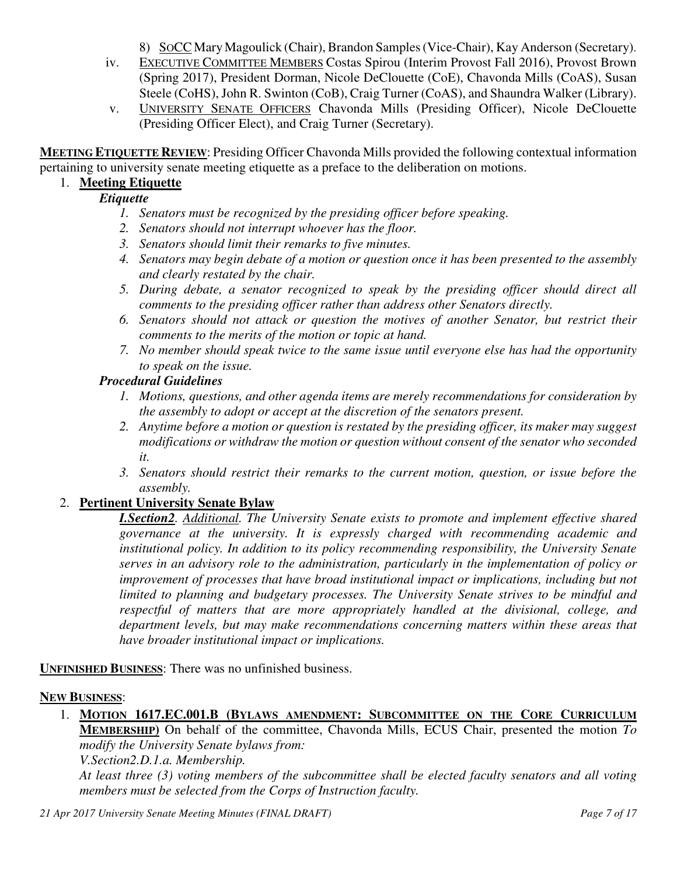8) SOCC Mary Magoulick (Chair), Brandon Samples (Vice-Chair), Kay Anderson (Secretary).

- iv. EXECUTIVE COMMITTEE MEMBERS Costas Spirou (Interim Provost Fall 2016), Provost Brown (Spring 2017), President Dorman, Nicole DeClouette (CoE), Chavonda Mills (CoAS), Susan Steele (CoHS), John R. Swinton (CoB), Craig Turner (CoAS), and Shaundra Walker (Library).
- v. UNIVERSITY SENATE OFFICERS Chavonda Mills (Presiding Officer), Nicole DeClouette (Presiding Officer Elect), and Craig Turner (Secretary).

**MEETING ETIQUETTE REVIEW**: Presiding Officer Chavonda Mills provided the following contextual information pertaining to university senate meeting etiquette as a preface to the deliberation on motions.

# 1. **Meeting Etiquette**

# *Etiquette*

- *1. Senators must be recognized by the presiding officer before speaking.*
- *2. Senators should not interrupt whoever has the floor.*
- *3. Senators should limit their remarks to five minutes.*
- *4. Senators may begin debate of a motion or question once it has been presented to the assembly and clearly restated by the chair.*
- *5. During debate, a senator recognized to speak by the presiding officer should direct all comments to the presiding officer rather than address other Senators directly.*
- *6. Senators should not attack or question the motives of another Senator, but restrict their comments to the merits of the motion or topic at hand.*
- *7. No member should speak twice to the same issue until everyone else has had the opportunity to speak on the issue.*

## *Procedural Guidelines*

- *1. Motions, questions, and other agenda items are merely recommendations for consideration by the assembly to adopt or accept at the discretion of the senators present.*
- *2. Anytime before a motion or question is restated by the presiding officer, its maker may suggest modifications or withdraw the motion or question without consent of the senator who seconded it.*
- *3. Senators should restrict their remarks to the current motion, question, or issue before the assembly.*

# 2. **Pertinent University Senate Bylaw**

*I.Section2. Additional. The University Senate exists to promote and implement effective shared governance at the university. It is expressly charged with recommending academic and institutional policy. In addition to its policy recommending responsibility, the University Senate serves in an advisory role to the administration, particularly in the implementation of policy or improvement of processes that have broad institutional impact or implications, including but not limited to planning and budgetary processes. The University Senate strives to be mindful and respectful of matters that are more appropriately handled at the divisional, college, and department levels, but may make recommendations concerning matters within these areas that have broader institutional impact or implications.* 

**UNFINISHED BUSINESS**: There was no unfinished business.

### **NEW BUSINESS**:

1. **MOTION 1617.EC.001.B (BYLAWS AMENDMENT: SUBCOMMITTEE ON THE CORE CURRICULUM MEMBERSHIP)** On behalf of the committee, Chavonda Mills, ECUS Chair, presented the motion *To modify the University Senate bylaws from:*

*V.Section2.D.1.a. Membership.* 

*At least three (3) voting members of the subcommittee shall be elected faculty senators and all voting members must be selected from the Corps of Instruction faculty.*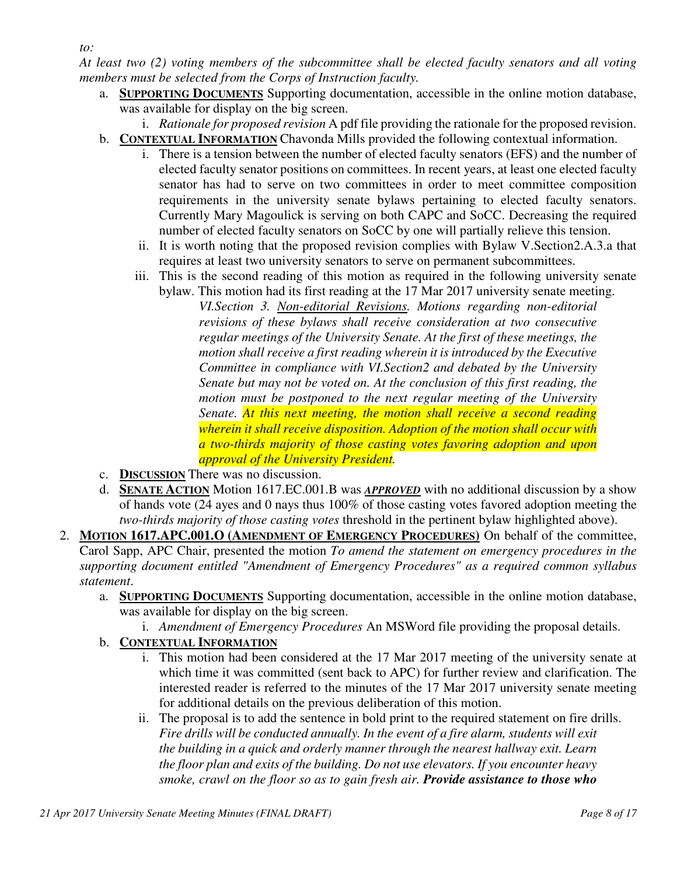*At least two (2) voting members of the subcommittee shall be elected faculty senators and all voting members must be selected from the Corps of Instruction faculty.*

- a. **SUPPORTING DOCUMENTS** Supporting documentation, accessible in the online motion database, was available for display on the big screen.
- i. *Rationale for proposed revision* A pdf file providing the rationale for the proposed revision. b. **CONTEXTUAL INFORMATION** Chavonda Mills provided the following contextual information.
	- i. There is a tension between the number of elected faculty senators (EFS) and the number of elected faculty senator positions on committees. In recent years, at least one elected faculty senator has had to serve on two committees in order to meet committee composition requirements in the university senate bylaws pertaining to elected faculty senators. Currently Mary Magoulick is serving on both CAPC and SoCC. Decreasing the required number of elected faculty senators on SoCC by one will partially relieve this tension.
	- ii. It is worth noting that the proposed revision complies with Bylaw V.Section2.A.3.a that requires at least two university senators to serve on permanent subcommittees.
	- iii. This is the second reading of this motion as required in the following university senate bylaw. This motion had its first reading at the 17 Mar 2017 university senate meeting.
		- *VI.Section 3. Non-editorial Revisions. Motions regarding non-editorial revisions of these bylaws shall receive consideration at two consecutive regular meetings of the University Senate. At the first of these meetings, the motion shall receive a first reading wherein it is introduced by the Executive Committee in compliance with VI.Section2 and debated by the University Senate but may not be voted on. At the conclusion of this first reading, the motion must be postponed to the next regular meeting of the University Senate. At this next meeting, the motion shall receive a second reading wherein it shall receive disposition. Adoption of the motion shall occur with a two-thirds majority of those casting votes favoring adoption and upon approval of the University President.*
- c. **DISCUSSION** There was no discussion.
- d. **SENATE ACTION** Motion 1617.EC.001.B was *APPROVED* with no additional discussion by a show of hands vote (24 ayes and 0 nays thus 100% of those casting votes favored adoption meeting the *two-thirds majority of those casting votes* threshold in the pertinent bylaw highlighted above).
- 2. **MOTION 1617.APC.001.O (AMENDMENT OF EMERGENCY PROCEDURES)** On behalf of the committee, Carol Sapp, APC Chair, presented the motion *To amend the statement on emergency procedures in the supporting document entitled "Amendment of Emergency Procedures" as a required common syllabus statement*.
	- a. **SUPPORTING DOCUMENTS** Supporting documentation, accessible in the online motion database, was available for display on the big screen.
		- i. *Amendment of Emergency Procedures* An MSWord file providing the proposal details.

# b. **CONTEXTUAL INFORMATION**

- i. This motion had been considered at the 17 Mar 2017 meeting of the university senate at which time it was committed (sent back to APC) for further review and clarification. The interested reader is referred to the minutes of the 17 Mar 2017 university senate meeting for additional details on the previous deliberation of this motion.
- ii. The proposal is to add the sentence in bold print to the required statement on fire drills. *Fire drills will be conducted annually. In the event of a fire alarm, students will exit the building in a quick and orderly manner through the nearest hallway exit. Learn the floor plan and exits of the building. Do not use elevators. If you encounter heavy smoke, crawl on the floor so as to gain fresh air. Provide assistance to those who*

*to:*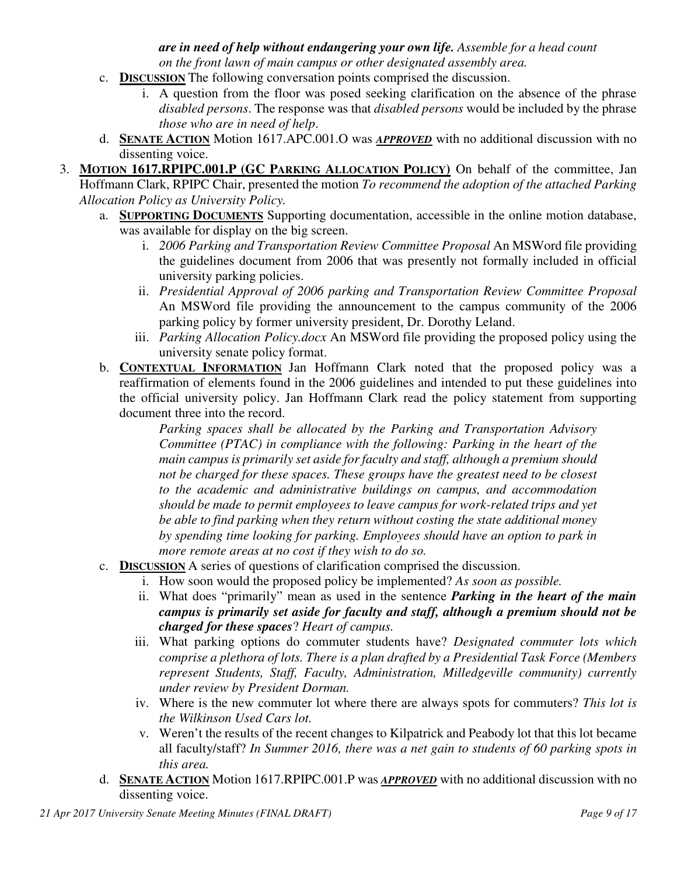*are in need of help without endangering your own life. Assemble for a head count on the front lawn of main campus or other designated assembly area.* 

- c. **DISCUSSION** The following conversation points comprised the discussion.
	- i. A question from the floor was posed seeking clarification on the absence of the phrase *disabled persons*. The response was that *disabled persons* would be included by the phrase *those who are in need of help*.
- d. **SENATE ACTION** Motion 1617.APC.001.O was *APPROVED* with no additional discussion with no dissenting voice.
- 3. **MOTION 1617.RPIPC.001.P (GC PARKING ALLOCATION POLICY)** On behalf of the committee, Jan Hoffmann Clark, RPIPC Chair, presented the motion *To recommend the adoption of the attached Parking Allocation Policy as University Policy.*
	- a. **SUPPORTING DOCUMENTS** Supporting documentation, accessible in the online motion database, was available for display on the big screen.
		- i. *2006 Parking and Transportation Review Committee Proposal An MSWord file providing* the guidelines document from 2006 that was presently not formally included in official university parking policies.
		- ii. *Presidential Approval of 2006 parking and Transportation Review Committee Proposal* An MSWord file providing the announcement to the campus community of the 2006 parking policy by former university president, Dr. Dorothy Leland.
		- iii. *Parking Allocation Policy.docx* An MSWord file providing the proposed policy using the university senate policy format.
	- b. **CONTEXTUAL INFORMATION** Jan Hoffmann Clark noted that the proposed policy was a reaffirmation of elements found in the 2006 guidelines and intended to put these guidelines into the official university policy. Jan Hoffmann Clark read the policy statement from supporting document three into the record.

*Parking spaces shall be allocated by the Parking and Transportation Advisory Committee (PTAC) in compliance with the following: Parking in the heart of the main campus is primarily set aside for faculty and staff, although a premium should not be charged for these spaces. These groups have the greatest need to be closest to the academic and administrative buildings on campus, and accommodation should be made to permit employees to leave campus for work-related trips and yet be able to find parking when they return without costing the state additional money by spending time looking for parking. Employees should have an option to park in more remote areas at no cost if they wish to do so.*

- c. **DISCUSSION** A series of questions of clarification comprised the discussion.
	- i. How soon would the proposed policy be implemented? *As soon as possible.*
	- ii. What does "primarily" mean as used in the sentence *Parking in the heart of the main campus is primarily set aside for faculty and staff, although a premium should not be charged for these spaces*? *Heart of campus.*
	- iii. What parking options do commuter students have? *Designated commuter lots which comprise a plethora of lots. There is a plan drafted by a Presidential Task Force (Members represent Students, Staff, Faculty, Administration, Milledgeville community) currently under review by President Dorman.*
	- iv. Where is the new commuter lot where there are always spots for commuters? *This lot is the Wilkinson Used Cars lot.*
	- v. Weren't the results of the recent changes to Kilpatrick and Peabody lot that this lot became all faculty/staff? *In Summer 2016, there was a net gain to students of 60 parking spots in this area.*
- d. **SENATE ACTION** Motion 1617.RPIPC.001.P was *APPROVED* with no additional discussion with no dissenting voice.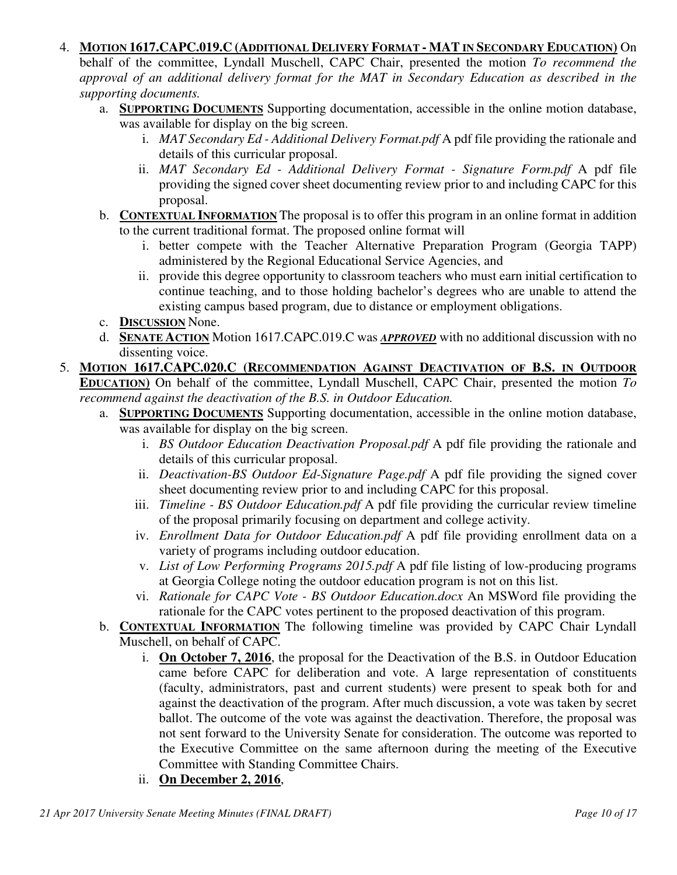#### 4. **MOTION 1617.CAPC.019.C (ADDITIONAL DELIVERY FORMAT - MAT IN SECONDARY EDUCATION)** On

behalf of the committee, Lyndall Muschell, CAPC Chair, presented the motion *To recommend the approval of an additional delivery format for the MAT in Secondary Education as described in the supporting documents.*

- a. **SUPPORTING DOCUMENTS** Supporting documentation, accessible in the online motion database, was available for display on the big screen.
	- i. *MAT Secondary Ed Additional Delivery Format.pdf* A pdf file providing the rationale and details of this curricular proposal.
	- ii. *MAT Secondary Ed Additional Delivery Format Signature Form.pdf* A pdf file providing the signed cover sheet documenting review prior to and including CAPC for this proposal.
- b. **CONTEXTUAL INFORMATION** The proposal is to offer this program in an online format in addition to the current traditional format. The proposed online format will
	- i. better compete with the Teacher Alternative Preparation Program (Georgia TAPP) administered by the Regional Educational Service Agencies, and
	- ii. provide this degree opportunity to classroom teachers who must earn initial certification to continue teaching, and to those holding bachelor's degrees who are unable to attend the existing campus based program, due to distance or employment obligations.
- c. **DISCUSSION** None.
- d. **SENATE ACTION** Motion 1617.CAPC.019.C was *APPROVED* with no additional discussion with no dissenting voice.
- 5. **MOTION 1617.CAPC.020.C (RECOMMENDATION AGAINST DEACTIVATION OF B.S. IN OUTDOOR EDUCATION)** On behalf of the committee, Lyndall Muschell, CAPC Chair, presented the motion *To recommend against the deactivation of the B.S. in Outdoor Education.*
	- a. **SUPPORTING DOCUMENTS** Supporting documentation, accessible in the online motion database, was available for display on the big screen.
		- i. *BS Outdoor Education Deactivation Proposal.pdf* A pdf file providing the rationale and details of this curricular proposal.
		- ii. *Deactivation-BS Outdoor Ed-Signature Page.pdf* A pdf file providing the signed cover sheet documenting review prior to and including CAPC for this proposal.
		- iii. *Timeline BS Outdoor Education.pdf* A pdf file providing the curricular review timeline of the proposal primarily focusing on department and college activity.
		- iv. *Enrollment Data for Outdoor Education.pdf* A pdf file providing enrollment data on a variety of programs including outdoor education.
		- v. *List of Low Performing Programs 2015.pdf* A pdf file listing of low-producing programs at Georgia College noting the outdoor education program is not on this list.
		- vi. *Rationale for CAPC Vote BS Outdoor Education.docx* An MSWord file providing the rationale for the CAPC votes pertinent to the proposed deactivation of this program.
	- b. **CONTEXTUAL INFORMATION** The following timeline was provided by CAPC Chair Lyndall Muschell, on behalf of CAPC.
		- i. **On October 7, 2016**, the proposal for the Deactivation of the B.S. in Outdoor Education came before CAPC for deliberation and vote. A large representation of constituents (faculty, administrators, past and current students) were present to speak both for and against the deactivation of the program. After much discussion, a vote was taken by secret ballot. The outcome of the vote was against the deactivation. Therefore, the proposal was not sent forward to the University Senate for consideration. The outcome was reported to the Executive Committee on the same afternoon during the meeting of the Executive Committee with Standing Committee Chairs.
		- ii. **On December 2, 2016**,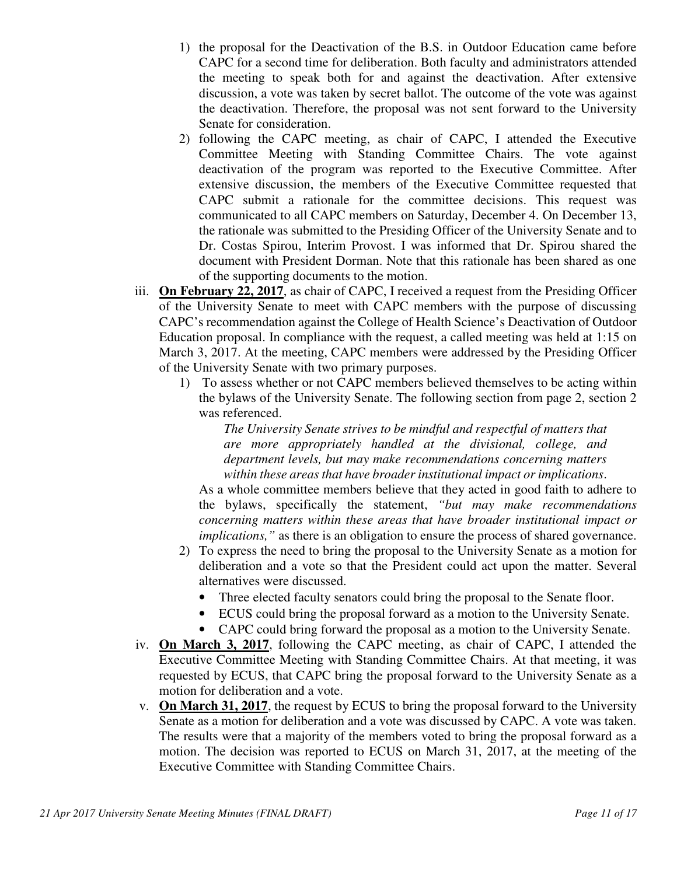- 1) the proposal for the Deactivation of the B.S. in Outdoor Education came before CAPC for a second time for deliberation. Both faculty and administrators attended the meeting to speak both for and against the deactivation. After extensive discussion, a vote was taken by secret ballot. The outcome of the vote was against the deactivation. Therefore, the proposal was not sent forward to the University Senate for consideration.
- 2) following the CAPC meeting, as chair of CAPC, I attended the Executive Committee Meeting with Standing Committee Chairs. The vote against deactivation of the program was reported to the Executive Committee. After extensive discussion, the members of the Executive Committee requested that CAPC submit a rationale for the committee decisions. This request was communicated to all CAPC members on Saturday, December 4. On December 13, the rationale was submitted to the Presiding Officer of the University Senate and to Dr. Costas Spirou, Interim Provost. I was informed that Dr. Spirou shared the document with President Dorman. Note that this rationale has been shared as one of the supporting documents to the motion.
- iii. **On February 22, 2017**, as chair of CAPC, I received a request from the Presiding Officer of the University Senate to meet with CAPC members with the purpose of discussing CAPC's recommendation against the College of Health Science's Deactivation of Outdoor Education proposal. In compliance with the request, a called meeting was held at 1:15 on March 3, 2017. At the meeting, CAPC members were addressed by the Presiding Officer of the University Senate with two primary purposes.
	- 1) To assess whether or not CAPC members believed themselves to be acting within the bylaws of the University Senate. The following section from page 2, section 2 was referenced.

*The University Senate strives to be mindful and respectful of matters that are more appropriately handled at the divisional, college, and department levels, but may make recommendations concerning matters within these areas that have broader institutional impact or implications*.

As a whole committee members believe that they acted in good faith to adhere to the bylaws, specifically the statement, *"but may make recommendations concerning matters within these areas that have broader institutional impact or implications,"* as there is an obligation to ensure the process of shared governance.

- 2) To express the need to bring the proposal to the University Senate as a motion for deliberation and a vote so that the President could act upon the matter. Several alternatives were discussed.
	- Three elected faculty senators could bring the proposal to the Senate floor.
	- ECUS could bring the proposal forward as a motion to the University Senate.
	- CAPC could bring forward the proposal as a motion to the University Senate.
- iv. **On March 3, 2017**, following the CAPC meeting, as chair of CAPC, I attended the Executive Committee Meeting with Standing Committee Chairs. At that meeting, it was requested by ECUS, that CAPC bring the proposal forward to the University Senate as a motion for deliberation and a vote.
- v. **On March 31, 2017**, the request by ECUS to bring the proposal forward to the University Senate as a motion for deliberation and a vote was discussed by CAPC. A vote was taken. The results were that a majority of the members voted to bring the proposal forward as a motion. The decision was reported to ECUS on March 31, 2017, at the meeting of the Executive Committee with Standing Committee Chairs.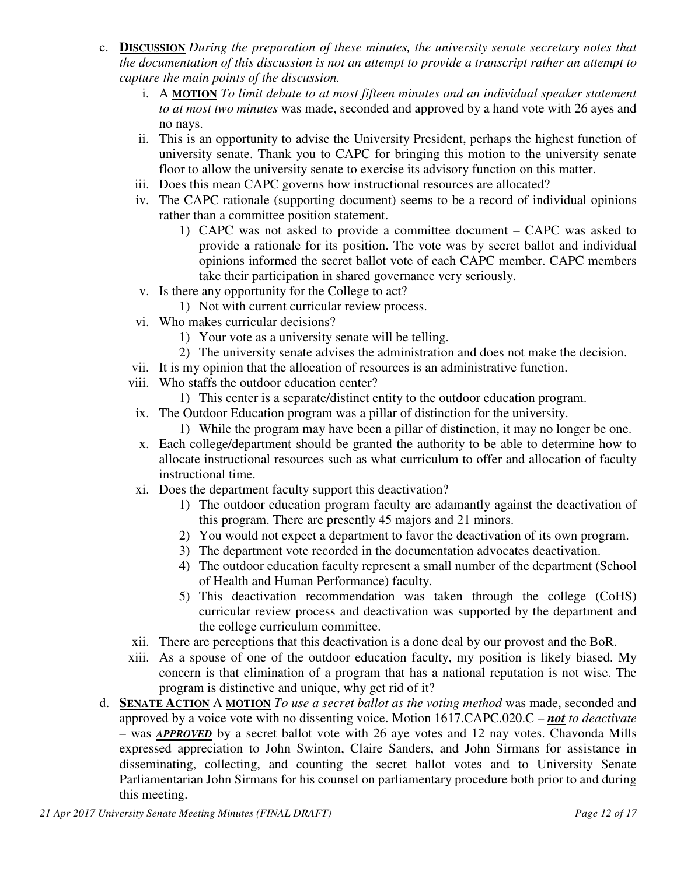- c. **DISCUSSION** *During the preparation of these minutes, the university senate secretary notes that the documentation of this discussion is not an attempt to provide a transcript rather an attempt to capture the main points of the discussion.*
	- i. A **MOTION** *To limit debate to at most fifteen minutes and an individual speaker statement to at most two minutes* was made, seconded and approved by a hand vote with 26 ayes and no nays.
	- ii. This is an opportunity to advise the University President, perhaps the highest function of university senate. Thank you to CAPC for bringing this motion to the university senate floor to allow the university senate to exercise its advisory function on this matter.
	- iii. Does this mean CAPC governs how instructional resources are allocated?
	- iv. The CAPC rationale (supporting document) seems to be a record of individual opinions rather than a committee position statement.
		- 1) CAPC was not asked to provide a committee document CAPC was asked to provide a rationale for its position. The vote was by secret ballot and individual opinions informed the secret ballot vote of each CAPC member. CAPC members take their participation in shared governance very seriously.
	- v. Is there any opportunity for the College to act?
		- 1) Not with current curricular review process.
	- vi. Who makes curricular decisions?
		- 1) Your vote as a university senate will be telling.
		- 2) The university senate advises the administration and does not make the decision.
	- vii. It is my opinion that the allocation of resources is an administrative function.
	- viii. Who staffs the outdoor education center?
		- 1) This center is a separate/distinct entity to the outdoor education program.
	- ix. The Outdoor Education program was a pillar of distinction for the university.
		- 1) While the program may have been a pillar of distinction, it may no longer be one.
	- x. Each college/department should be granted the authority to be able to determine how to allocate instructional resources such as what curriculum to offer and allocation of faculty instructional time.
	- xi. Does the department faculty support this deactivation?
		- 1) The outdoor education program faculty are adamantly against the deactivation of this program. There are presently 45 majors and 21 minors.
		- 2) You would not expect a department to favor the deactivation of its own program.
		- 3) The department vote recorded in the documentation advocates deactivation.
		- 4) The outdoor education faculty represent a small number of the department (School of Health and Human Performance) faculty.
		- 5) This deactivation recommendation was taken through the college (CoHS) curricular review process and deactivation was supported by the department and the college curriculum committee.
	- xii. There are perceptions that this deactivation is a done deal by our provost and the BoR.
	- xiii. As a spouse of one of the outdoor education faculty, my position is likely biased. My concern is that elimination of a program that has a national reputation is not wise. The program is distinctive and unique, why get rid of it?
- d. **SENATE ACTION** A **MOTION** *To use a secret ballot as the voting method* was made, seconded and approved by a voice vote with no dissenting voice. Motion 1617.CAPC.020.C – *not to deactivate –* was *APPROVED* by a secret ballot vote with 26 aye votes and 12 nay votes. Chavonda Mills expressed appreciation to John Swinton, Claire Sanders, and John Sirmans for assistance in disseminating, collecting, and counting the secret ballot votes and to University Senate Parliamentarian John Sirmans for his counsel on parliamentary procedure both prior to and during this meeting.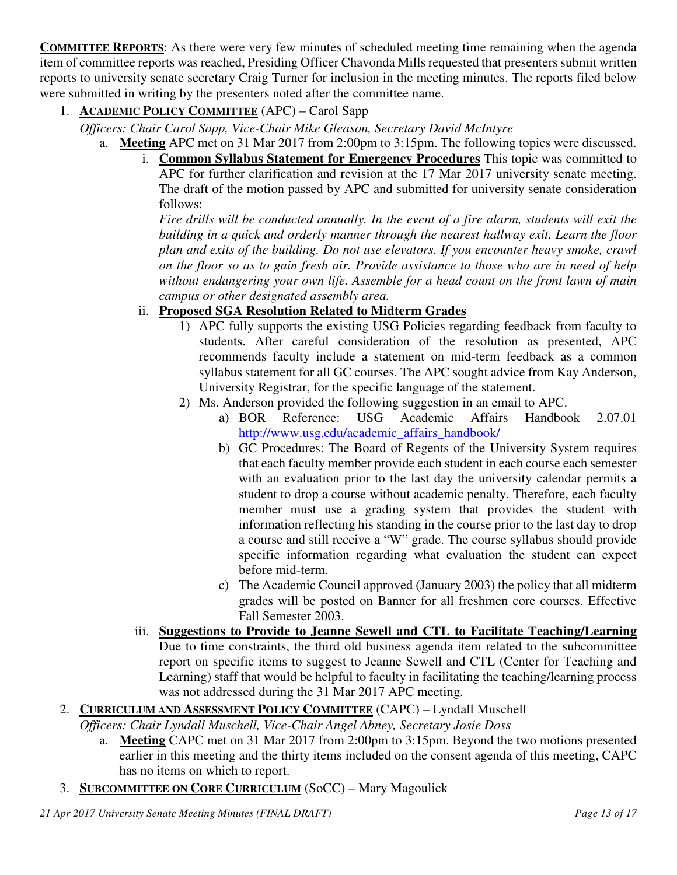**COMMITTEE REPORTS**: As there were very few minutes of scheduled meeting time remaining when the agenda item of committee reports was reached, Presiding Officer Chavonda Mills requested that presenters submit written reports to university senate secretary Craig Turner for inclusion in the meeting minutes. The reports filed below were submitted in writing by the presenters noted after the committee name.

# 1. **ACADEMIC POLICY COMMITTEE** (APC) – Carol Sapp

*Officers: Chair Carol Sapp, Vice-Chair Mike Gleason, Secretary David McIntyre*

- a. **Meeting** APC met on 31 Mar 2017 from 2:00pm to 3:15pm. The following topics were discussed.
	- i. **Common Syllabus Statement for Emergency Procedures** This topic was committed to APC for further clarification and revision at the 17 Mar 2017 university senate meeting. The draft of the motion passed by APC and submitted for university senate consideration follows:

*Fire drills will be conducted annually. In the event of a fire alarm, students will exit the building in a quick and orderly manner through the nearest hallway exit. Learn the floor plan and exits of the building. Do not use elevators. If you encounter heavy smoke, crawl on the floor so as to gain fresh air. Provide assistance to those who are in need of help without endangering your own life. Assemble for a head count on the front lawn of main campus or other designated assembly area.*

## ii. **Proposed SGA Resolution Related to Midterm Grades**

- 1) APC fully supports the existing USG Policies regarding feedback from faculty to students. After careful consideration of the resolution as presented, APC recommends faculty include a statement on mid-term feedback as a common syllabus statement for all GC courses. The APC sought advice from Kay Anderson, University Registrar, for the specific language of the statement.
- 2) Ms. Anderson provided the following suggestion in an email to APC.
	- a) BOR Reference: USG Academic Affairs Handbook 2.07.01 http://www.usg.edu/academic\_affairs\_handbook/
	- b) GC Procedures: The Board of Regents of the University System requires that each faculty member provide each student in each course each semester with an evaluation prior to the last day the university calendar permits a student to drop a course without academic penalty. Therefore, each faculty member must use a grading system that provides the student with information reflecting his standing in the course prior to the last day to drop a course and still receive a "W" grade. The course syllabus should provide specific information regarding what evaluation the student can expect before mid-term.
	- c) The Academic Council approved (January 2003) the policy that all midterm grades will be posted on Banner for all freshmen core courses. Effective Fall Semester 2003.
- iii. **Suggestions to Provide to Jeanne Sewell and CTL to Facilitate Teaching/Learning** Due to time constraints, the third old business agenda item related to the subcommittee report on specific items to suggest to Jeanne Sewell and CTL (Center for Teaching and Learning) staff that would be helpful to faculty in facilitating the teaching/learning process was not addressed during the 31 Mar 2017 APC meeting.
- 2. **CURRICULUM AND ASSESSMENT POLICY COMMITTEE** (CAPC) Lyndall Muschell
	- *Officers: Chair Lyndall Muschell, Vice-Chair Angel Abney, Secretary Josie Doss* 
		- a. **Meeting** CAPC met on 31 Mar 2017 from 2:00pm to 3:15pm. Beyond the two motions presented earlier in this meeting and the thirty items included on the consent agenda of this meeting, CAPC has no items on which to report.
- 3. **SUBCOMMITTEE ON CORE CURRICULUM** (SoCC) Mary Magoulick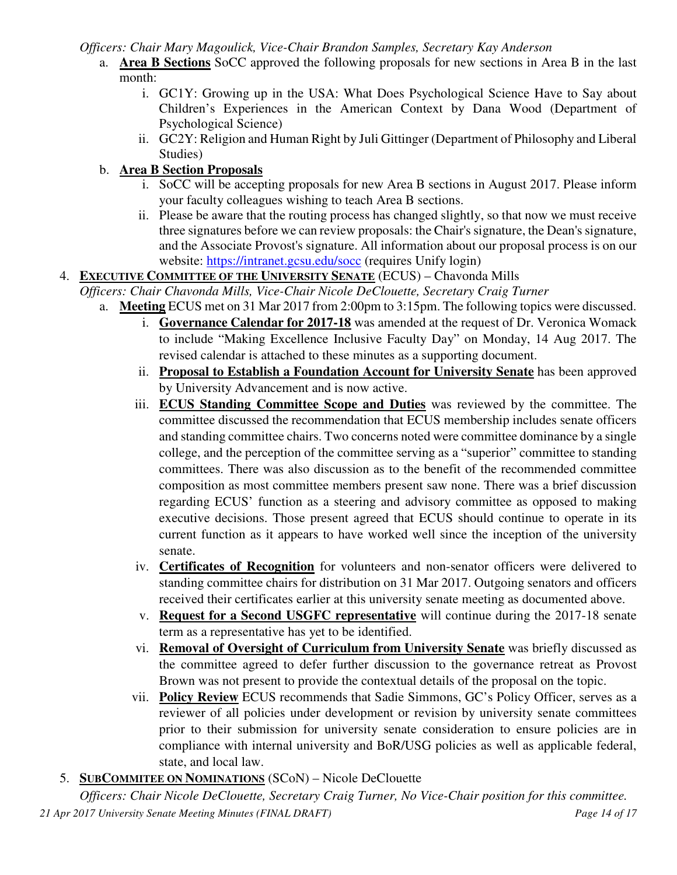*Officers: Chair Mary Magoulick, Vice-Chair Brandon Samples, Secretary Kay Anderson*

- a. **Area B Sections** SoCC approved the following proposals for new sections in Area B in the last month:
	- i. GC1Y: Growing up in the USA: What Does Psychological Science Have to Say about Children's Experiences in the American Context by Dana Wood (Department of Psychological Science)
	- ii. GC2Y: Religion and Human Right by Juli Gittinger (Department of Philosophy and Liberal Studies)

# b. **Area B Section Proposals**

- i. SoCC will be accepting proposals for new Area B sections in August 2017. Please inform your faculty colleagues wishing to teach Area B sections.
- ii. Please be aware that the routing process has changed slightly, so that now we must receive three signatures before we can review proposals: the Chair's signature, the Dean's signature, and the Associate Provost's signature. All information about our proposal process is on our website: https://intranet.gcsu.edu/socc (requires Unify login)

# 4. **EXECUTIVE COMMITTEE OF THE UNIVERSITY SENATE** (ECUS) – Chavonda Mills

- *Officers: Chair Chavonda Mills, Vice-Chair Nicole DeClouette, Secretary Craig Turner*
	- a. **Meeting** ECUS met on 31 Mar 2017 from 2:00pm to 3:15pm. The following topics were discussed.
		- i. **Governance Calendar for 2017-18** was amended at the request of Dr. Veronica Womack to include "Making Excellence Inclusive Faculty Day" on Monday, 14 Aug 2017. The revised calendar is attached to these minutes as a supporting document.
		- ii. **Proposal to Establish a Foundation Account for University Senate** has been approved by University Advancement and is now active.
		- iii. **ECUS Standing Committee Scope and Duties** was reviewed by the committee. The committee discussed the recommendation that ECUS membership includes senate officers and standing committee chairs. Two concerns noted were committee dominance by a single college, and the perception of the committee serving as a "superior" committee to standing committees. There was also discussion as to the benefit of the recommended committee composition as most committee members present saw none. There was a brief discussion regarding ECUS' function as a steering and advisory committee as opposed to making executive decisions. Those present agreed that ECUS should continue to operate in its current function as it appears to have worked well since the inception of the university senate.
		- iv. **Certificates of Recognition** for volunteers and non-senator officers were delivered to standing committee chairs for distribution on 31 Mar 2017. Outgoing senators and officers received their certificates earlier at this university senate meeting as documented above.
		- v. **Request for a Second USGFC representative** will continue during the 2017-18 senate term as a representative has yet to be identified.
		- vi. **Removal of Oversight of Curriculum from University Senate** was briefly discussed as the committee agreed to defer further discussion to the governance retreat as Provost Brown was not present to provide the contextual details of the proposal on the topic.
		- vii. **Policy Review** ECUS recommends that Sadie Simmons, GC's Policy Officer, serves as a reviewer of all policies under development or revision by university senate committees prior to their submission for university senate consideration to ensure policies are in compliance with internal university and BoR/USG policies as well as applicable federal, state, and local law.

# 5. **SUBCOMMITEE ON NOMINATIONS** (SCoN) – Nicole DeClouette

*21 Apr 2017 University Senate Meeting Minutes (FINAL DRAFT) Page 14 of 17 Officers: Chair Nicole DeClouette, Secretary Craig Turner, No Vice-Chair position for this committee.*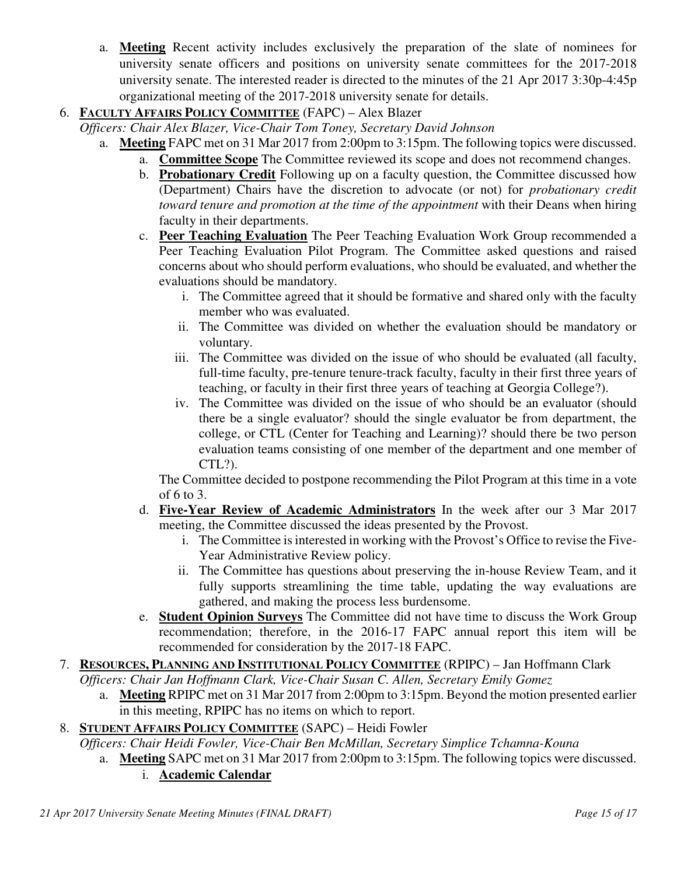- a. **Meeting** Recent activity includes exclusively the preparation of the slate of nominees for university senate officers and positions on university senate committees for the 2017-2018 university senate. The interested reader is directed to the minutes of the 21 Apr 2017 3:30p-4:45p organizational meeting of the 2017-2018 university senate for details.
- 6. **FACULTY AFFAIRS POLICY COMMITTEE** (FAPC) Alex Blazer

*Officers: Chair Alex Blazer, Vice-Chair Tom Toney, Secretary David Johnson*

- a. **Meeting** FAPC met on 31 Mar 2017 from 2:00pm to 3:15pm. The following topics were discussed.
	- a. **Committee Scope** The Committee reviewed its scope and does not recommend changes.
	- b. **Probationary Credit** Following up on a faculty question, the Committee discussed how (Department) Chairs have the discretion to advocate (or not) for *probationary credit toward tenure and promotion at the time of the appointment* with their Deans when hiring faculty in their departments.
	- c. **Peer Teaching Evaluation** The Peer Teaching Evaluation Work Group recommended a Peer Teaching Evaluation Pilot Program. The Committee asked questions and raised concerns about who should perform evaluations, who should be evaluated, and whether the evaluations should be mandatory.
		- i. The Committee agreed that it should be formative and shared only with the faculty member who was evaluated.
		- ii. The Committee was divided on whether the evaluation should be mandatory or voluntary.
		- iii. The Committee was divided on the issue of who should be evaluated (all faculty, full-time faculty, pre-tenure tenure-track faculty, faculty in their first three years of teaching, or faculty in their first three years of teaching at Georgia College?).
		- iv. The Committee was divided on the issue of who should be an evaluator (should there be a single evaluator? should the single evaluator be from department, the college, or CTL (Center for Teaching and Learning)? should there be two person evaluation teams consisting of one member of the department and one member of CTL?).

The Committee decided to postpone recommending the Pilot Program at this time in a vote of 6 to 3.

- d. **Five-Year Review of Academic Administrators** In the week after our 3 Mar 2017 meeting, the Committee discussed the ideas presented by the Provost.
	- i. The Committee is interested in working with the Provost's Office to revise the Five-Year Administrative Review policy.
	- ii. The Committee has questions about preserving the in-house Review Team, and it fully supports streamlining the time table, updating the way evaluations are gathered, and making the process less burdensome.
- e. **Student Opinion Surveys** The Committee did not have time to discuss the Work Group recommendation; therefore, in the 2016-17 FAPC annual report this item will be recommended for consideration by the 2017-18 FAPC.
- 7. **RESOURCES, PLANNING AND INSTITUTIONAL POLICY COMMITTEE** (RPIPC) Jan Hoffmann Clark *Officers: Chair Jan Hoffmann Clark, Vice-Chair Susan C. Allen, Secretary Emily Gomez* 
	- a. **Meeting** RPIPC met on 31 Mar 2017 from 2:00pm to 3:15pm. Beyond the motion presented earlier in this meeting, RPIPC has no items on which to report.
- 8. **STUDENT AFFAIRS POLICY COMMITTEE** (SAPC) Heidi Fowler
	- *Officers: Chair Heidi Fowler, Vice-Chair Ben McMillan, Secretary Simplice Tchamna-Kouna*
		- a. **Meeting** SAPC met on 31 Mar 2017 from 2:00pm to 3:15pm. The following topics were discussed. i. **Academic Calendar**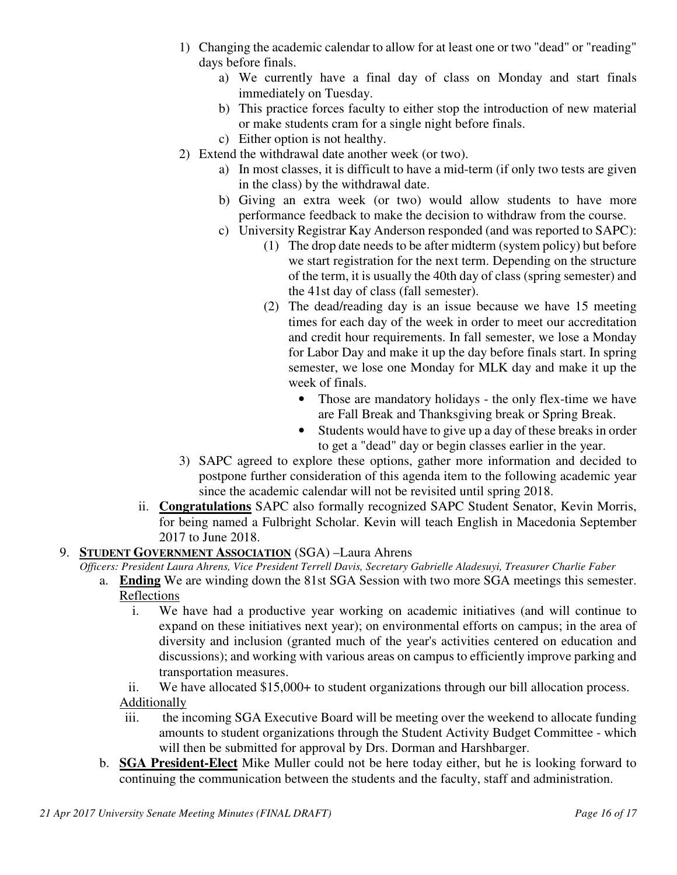- 1) Changing the academic calendar to allow for at least one or two "dead" or "reading" days before finals.
	- a) We currently have a final day of class on Monday and start finals immediately on Tuesday.
	- b) This practice forces faculty to either stop the introduction of new material or make students cram for a single night before finals.
	- c) Either option is not healthy.
- 2) Extend the withdrawal date another week (or two).
	- a) In most classes, it is difficult to have a mid-term (if only two tests are given in the class) by the withdrawal date.
	- b) Giving an extra week (or two) would allow students to have more performance feedback to make the decision to withdraw from the course.
	- c) University Registrar Kay Anderson responded (and was reported to SAPC):
		- (1) The drop date needs to be after midterm (system policy) but before we start registration for the next term. Depending on the structure of the term, it is usually the 40th day of class (spring semester) and the 41st day of class (fall semester).
		- (2) The dead/reading day is an issue because we have 15 meeting times for each day of the week in order to meet our accreditation and credit hour requirements. In fall semester, we lose a Monday for Labor Day and make it up the day before finals start. In spring semester, we lose one Monday for MLK day and make it up the week of finals.
			- Those are mandatory holidays the only flex-time we have are Fall Break and Thanksgiving break or Spring Break.
			- Students would have to give up a day of these breaks in order to get a "dead" day or begin classes earlier in the year.
- 3) SAPC agreed to explore these options, gather more information and decided to postpone further consideration of this agenda item to the following academic year since the academic calendar will not be revisited until spring 2018.
- ii. **Congratulations** SAPC also formally recognized SAPC Student Senator, Kevin Morris, for being named a Fulbright Scholar. Kevin will teach English in Macedonia September 2017 to June 2018.
- 9. **STUDENT GOVERNMENT ASSOCIATION** (SGA) –Laura Ahrens
	- *Officers: President Laura Ahrens, Vice President Terrell Davis, Secretary Gabrielle Aladesuyi, Treasurer Charlie Faber*
		- a. **Ending** We are winding down the 81st SGA Session with two more SGA meetings this semester. Reflections
			- i. We have had a productive year working on academic initiatives (and will continue to expand on these initiatives next year); on environmental efforts on campus; in the area of diversity and inclusion (granted much of the year's activities centered on education and discussions); and working with various areas on campus to efficiently improve parking and transportation measures.
			- ii. We have allocated \$15,000+ to student organizations through our bill allocation process. Additionally
			- iii. the incoming SGA Executive Board will be meeting over the weekend to allocate funding amounts to student organizations through the Student Activity Budget Committee - which will then be submitted for approval by Drs. Dorman and Harshbarger.
		- b. **SGA President-Elect** Mike Muller could not be here today either, but he is looking forward to continuing the communication between the students and the faculty, staff and administration.